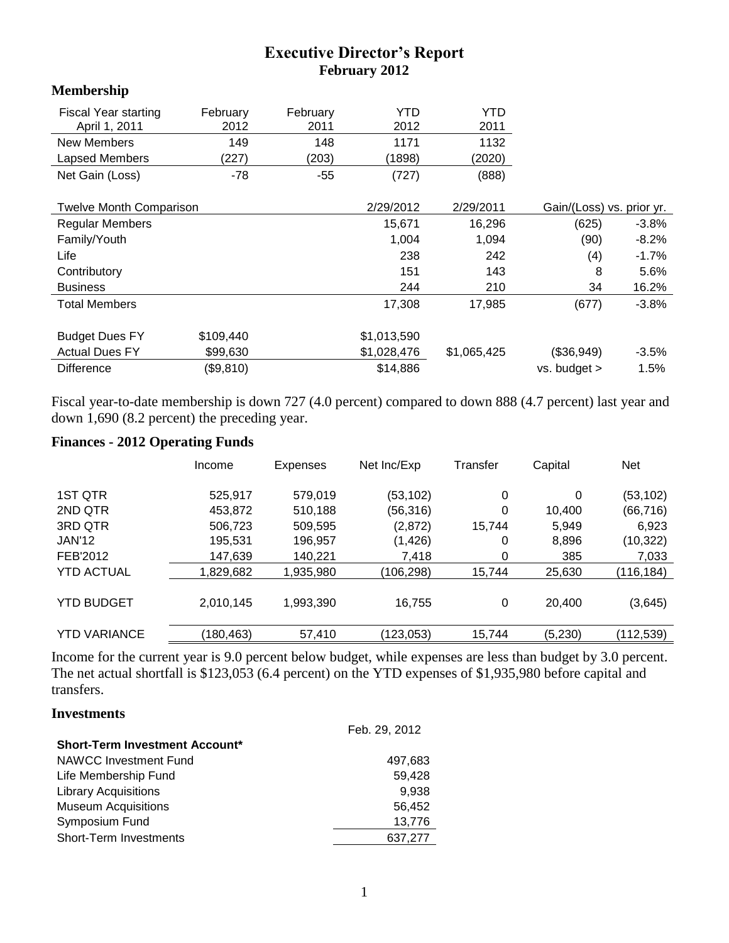# **Executive Director's Report February 2012**

### **Membership**

| <b>Fiscal Year starting</b><br>April 1, 2011 | February<br>2012 | February<br>2011 | YTD<br>2012 | YTD<br>2011 |                           |          |
|----------------------------------------------|------------------|------------------|-------------|-------------|---------------------------|----------|
| <b>New Members</b>                           | 149              | 148              | 1171        | 1132        |                           |          |
| Lapsed Members                               | (227)            | (203)            | (1898)      | (2020)      |                           |          |
| Net Gain (Loss)                              | $-78$            | $-55$            | (727)       | (888)       |                           |          |
| <b>Twelve Month Comparison</b>               |                  |                  | 2/29/2012   | 2/29/2011   | Gain/(Loss) vs. prior yr. |          |
| <b>Regular Members</b>                       |                  |                  | 15,671      | 16,296      | (625)                     | $-3.8\%$ |
| Family/Youth                                 |                  |                  | 1,004       | 1,094       | (90)                      | $-8.2\%$ |
| Life                                         |                  |                  | 238         | 242         | (4)                       | $-1.7\%$ |
| Contributory                                 |                  |                  | 151         | 143         | 8                         | 5.6%     |
| <b>Business</b>                              |                  |                  | 244         | 210         | 34                        | 16.2%    |
| <b>Total Members</b>                         |                  |                  | 17,308      | 17,985      | (677)                     | -3.8%    |
| <b>Budget Dues FY</b>                        | \$109,440        |                  | \$1,013,590 |             |                           |          |
| <b>Actual Dues FY</b>                        | \$99,630         |                  | \$1,028,476 | \$1,065,425 | (\$36,949)                | $-3.5%$  |
| <b>Difference</b>                            | (\$9,810)        |                  | \$14,886    |             | vs. budget >              | 1.5%     |

Fiscal year-to-date membership is down 727 (4.0 percent) compared to down 888 (4.7 percent) last year and down 1,690 (8.2 percent) the preceding year.

## **Finances - 2012 Operating Funds**

|                     | Income     | <b>Expenses</b> | Net Inc/Exp | Transfer | Capital | <b>Net</b> |
|---------------------|------------|-----------------|-------------|----------|---------|------------|
| 1ST QTR             | 525.917    | 579,019         | (53,102)    | 0        | 0       | (53, 102)  |
| 2ND QTR             | 453.872    | 510,188         | (56,316)    | 0        | 10.400  | (66, 716)  |
| 3RD QTR             | 506,723    | 509,595         | (2,872)     | 15.744   | 5,949   | 6,923      |
| <b>JAN'12</b>       | 195,531    | 196,957         | (1, 426)    | 0        | 8,896   | (10, 322)  |
| FEB'2012            | 147,639    | 140,221         | 7,418       | 0        | 385     | 7,033      |
| <b>YTD ACTUAL</b>   | 1,829,682  | 1,935,980       | (106, 298)  | 15,744   | 25,630  | (116, 184) |
| <b>YTD BUDGET</b>   | 2,010,145  | 1,993,390       | 16,755      | 0        | 20.400  | (3,645)    |
| <b>YTD VARIANCE</b> | (180, 463) | 57,410          | (123, 053)  | 15,744   | (5,230) | (112,539)  |

Income for the current year is 9.0 percent below budget, while expenses are less than budget by 3.0 percent. The net actual shortfall is \$123,053 (6.4 percent) on the YTD expenses of \$1,935,980 before capital and transfers.

#### **Investments**

|                                       | Feb. 29, 2012 |
|---------------------------------------|---------------|
| <b>Short-Term Investment Account*</b> |               |
| <b>NAWCC Investment Fund</b>          | 497,683       |
| Life Membership Fund                  | 59,428        |
| <b>Library Acquisitions</b>           | 9,938         |
| <b>Museum Acquisitions</b>            | 56.452        |
| Symposium Fund                        | 13.776        |
| <b>Short-Term Investments</b>         | 637,277       |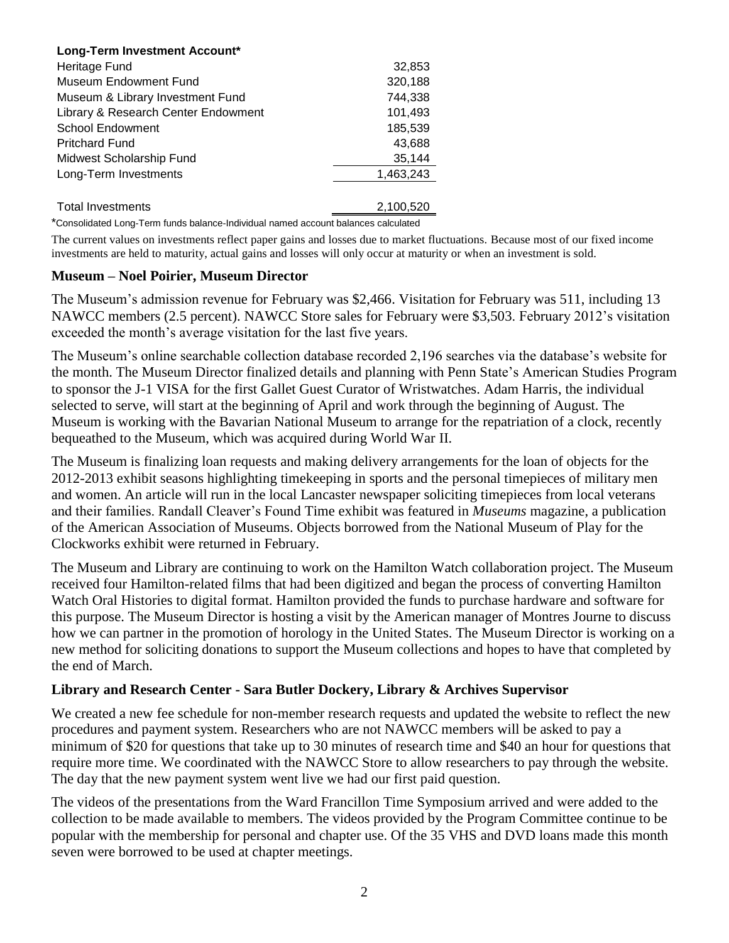| Long-Term Investment Account*       |           |
|-------------------------------------|-----------|
| Heritage Fund                       | 32,853    |
| Museum Endowment Fund               | 320,188   |
| Museum & Library Investment Fund    | 744.338   |
| Library & Research Center Endowment | 101,493   |
| <b>School Endowment</b>             | 185,539   |
| <b>Pritchard Fund</b>               | 43.688    |
| Midwest Scholarship Fund            | 35,144    |
| Long-Term Investments               | 1,463,243 |
|                                     |           |
| <b>Total Investments</b>            | 2,100,520 |

\*Consolidated Long-Term funds balance-Individual named account balances calculated

The current values on investments reflect paper gains and losses due to market fluctuations. Because most of our fixed income investments are held to maturity, actual gains and losses will only occur at maturity or when an investment is sold.

#### **Museum – Noel Poirier, Museum Director**

The Museum's admission revenue for February was \$2,466. Visitation for February was 511, including 13 NAWCC members (2.5 percent). NAWCC Store sales for February were \$3,503. February 2012's visitation exceeded the month's average visitation for the last five years.

The Museum's online searchable collection database recorded 2,196 searches via the database's website for the month. The Museum Director finalized details and planning with Penn State's American Studies Program to sponsor the J-1 VISA for the first Gallet Guest Curator of Wristwatches. Adam Harris, the individual selected to serve, will start at the beginning of April and work through the beginning of August. The Museum is working with the Bavarian National Museum to arrange for the repatriation of a clock, recently bequeathed to the Museum, which was acquired during World War II.

The Museum is finalizing loan requests and making delivery arrangements for the loan of objects for the 2012-2013 exhibit seasons highlighting timekeeping in sports and the personal timepieces of military men and women. An article will run in the local Lancaster newspaper soliciting timepieces from local veterans and their families. Randall Cleaver's Found Time exhibit was featured in *Museums* magazine, a publication of the American Association of Museums. Objects borrowed from the National Museum of Play for the Clockworks exhibit were returned in February.

The Museum and Library are continuing to work on the Hamilton Watch collaboration project. The Museum received four Hamilton-related films that had been digitized and began the process of converting Hamilton Watch Oral Histories to digital format. Hamilton provided the funds to purchase hardware and software for this purpose. The Museum Director is hosting a visit by the American manager of Montres Journe to discuss how we can partner in the promotion of horology in the United States. The Museum Director is working on a new method for soliciting donations to support the Museum collections and hopes to have that completed by the end of March.

### **Library and Research Center - Sara Butler Dockery, Library & Archives Supervisor**

We created a new fee schedule for non-member research requests and updated the website to reflect the new procedures and payment system. Researchers who are not NAWCC members will be asked to pay a minimum of \$20 for questions that take up to 30 minutes of research time and \$40 an hour for questions that require more time. We coordinated with the NAWCC Store to allow researchers to pay through the website. The day that the new payment system went live we had our first paid question.

The videos of the presentations from the Ward Francillon Time Symposium arrived and were added to the collection to be made available to members. The videos provided by the Program Committee continue to be popular with the membership for personal and chapter use. Of the 35 VHS and DVD loans made this month seven were borrowed to be used at chapter meetings.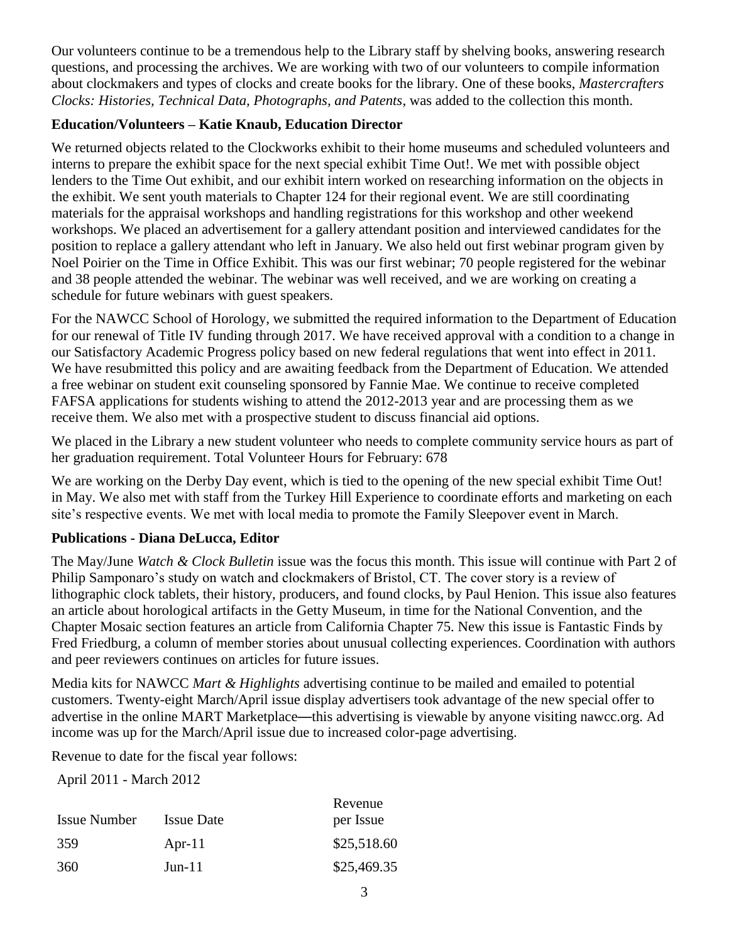Our volunteers continue to be a tremendous help to the Library staff by shelving books, answering research questions, and processing the archives. We are working with two of our volunteers to compile information about clockmakers and types of clocks and create books for the library. One of these books, *Mastercrafters Clocks: Histories, Technical Data, Photographs, and Patents*, was added to the collection this month.

## **Education/Volunteers – Katie Knaub, Education Director**

We returned objects related to the Clockworks exhibit to their home museums and scheduled volunteers and interns to prepare the exhibit space for the next special exhibit Time Out!. We met with possible object lenders to the Time Out exhibit, and our exhibit intern worked on researching information on the objects in the exhibit. We sent youth materials to Chapter 124 for their regional event. We are still coordinating materials for the appraisal workshops and handling registrations for this workshop and other weekend workshops. We placed an advertisement for a gallery attendant position and interviewed candidates for the position to replace a gallery attendant who left in January. We also held out first webinar program given by Noel Poirier on the Time in Office Exhibit. This was our first webinar; 70 people registered for the webinar and 38 people attended the webinar. The webinar was well received, and we are working on creating a schedule for future webinars with guest speakers.

For the NAWCC School of Horology, we submitted the required information to the Department of Education for our renewal of Title IV funding through 2017. We have received approval with a condition to a change in our Satisfactory Academic Progress policy based on new federal regulations that went into effect in 2011. We have resubmitted this policy and are awaiting feedback from the Department of Education. We attended a free webinar on student exit counseling sponsored by Fannie Mae. We continue to receive completed FAFSA applications for students wishing to attend the 2012-2013 year and are processing them as we receive them. We also met with a prospective student to discuss financial aid options.

We placed in the Library a new student volunteer who needs to complete community service hours as part of her graduation requirement. Total Volunteer Hours for February: 678

We are working on the Derby Day event, which is tied to the opening of the new special exhibit Time Out! in May. We also met with staff from the Turkey Hill Experience to coordinate efforts and marketing on each site's respective events. We met with local media to promote the Family Sleepover event in March.

### **Publications - Diana DeLucca, Editor**

The May/June *Watch & Clock Bulletin* issue was the focus this month. This issue will continue with Part 2 of Philip Samponaro's study on watch and clockmakers of Bristol, CT. The cover story is a review of lithographic clock tablets, their history, producers, and found clocks, by Paul Henion. This issue also features an article about horological artifacts in the Getty Museum, in time for the National Convention, and the Chapter Mosaic section features an article from California Chapter 75. New this issue is Fantastic Finds by Fred Friedburg, a column of member stories about unusual collecting experiences. Coordination with authors and peer reviewers continues on articles for future issues.

Media kits for NAWCC *Mart & Highlights* advertising continue to be mailed and emailed to potential customers. Twenty-eight March/April issue display advertisers took advantage of the new special offer to advertise in the online MART Marketplace—this advertising is viewable by anyone visiting nawcc.org. Ad income was up for the March/April issue due to increased color-page advertising.

Revenue to date for the fiscal year follows:

April 2011 - March 2012

|                     |                   | Revenue     |
|---------------------|-------------------|-------------|
| <b>Issue Number</b> | <b>Issue Date</b> | per Issue   |
| 359                 | Apr-11            | \$25,518.60 |
| 360                 | $Jun-11$          | \$25,469.35 |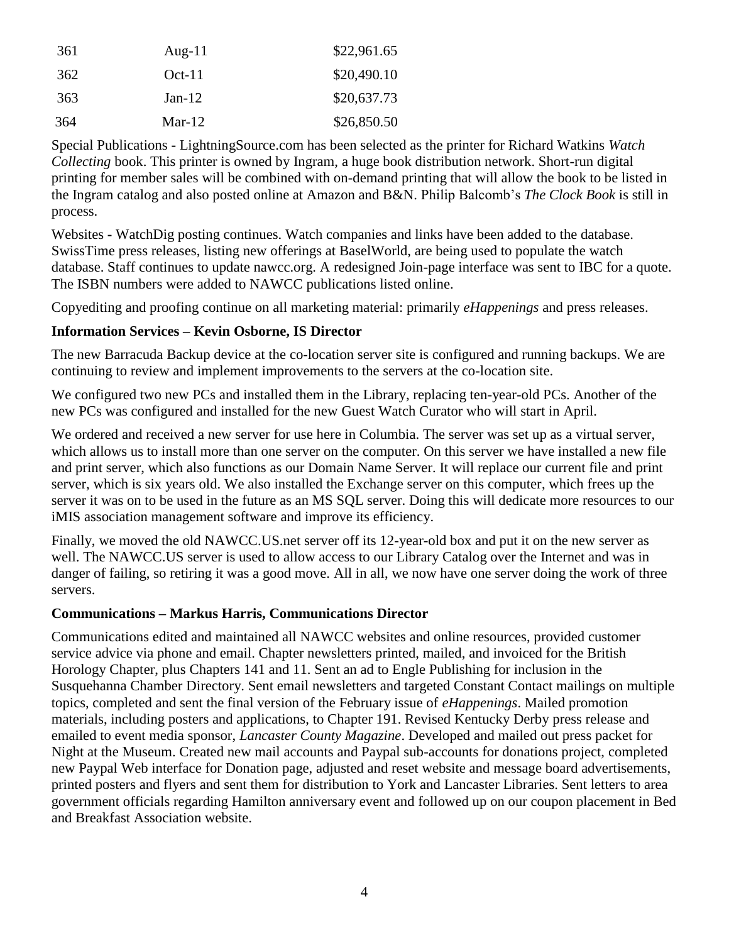| 361 | Aug-11   | \$22,961.65 |
|-----|----------|-------------|
| 362 | $Oct-11$ | \$20,490.10 |
| 363 | $Jan-12$ | \$20,637.73 |
| 364 | $Mar-12$ | \$26,850.50 |

Special Publications **-** LightningSource.com has been selected as the printer for Richard Watkins *Watch Collecting* book. This printer is owned by Ingram, a huge book distribution network. Short-run digital printing for member sales will be combined with on-demand printing that will allow the book to be listed in the Ingram catalog and also posted online at Amazon and B&N. Philip Balcomb's *The Clock Book* is still in process.

Websites **-** WatchDig posting continues. Watch companies and links have been added to the database. SwissTime press releases, listing new offerings at BaselWorld, are being used to populate the watch database. Staff continues to update nawcc.org. A redesigned Join-page interface was sent to IBC for a quote. The ISBN numbers were added to NAWCC publications listed online.

Copyediting and proofing continue on all marketing material: primarily *eHappenings* and press releases.

## **Information Services – Kevin Osborne, IS Director**

The new Barracuda Backup device at the co-location server site is configured and running backups. We are continuing to review and implement improvements to the servers at the co-location site.

We configured two new PCs and installed them in the Library, replacing ten-year-old PCs. Another of the new PCs was configured and installed for the new Guest Watch Curator who will start in April.

We ordered and received a new server for use here in Columbia. The server was set up as a virtual server, which allows us to install more than one server on the computer. On this server we have installed a new file and print server, which also functions as our Domain Name Server. It will replace our current file and print server, which is six years old. We also installed the Exchange server on this computer, which frees up the server it was on to be used in the future as an MS SQL server. Doing this will dedicate more resources to our iMIS association management software and improve its efficiency.

Finally, we moved the old NAWCC.US.net server off its 12-year-old box and put it on the new server as well. The NAWCC.US server is used to allow access to our Library Catalog over the Internet and was in danger of failing, so retiring it was a good move. All in all, we now have one server doing the work of three servers.

### **Communications – Markus Harris, Communications Director**

Communications edited and maintained all NAWCC websites and online resources, provided customer service advice via phone and email. Chapter newsletters printed, mailed, and invoiced for the British Horology Chapter, plus Chapters 141 and 11. Sent an ad to Engle Publishing for inclusion in the Susquehanna Chamber Directory. Sent email newsletters and targeted Constant Contact mailings on multiple topics, completed and sent the final version of the February issue of *eHappenings*. Mailed promotion materials, including posters and applications, to Chapter 191. Revised Kentucky Derby press release and emailed to event media sponsor, *Lancaster County Magazine*. Developed and mailed out press packet for Night at the Museum. Created new mail accounts and Paypal sub-accounts for donations project, completed new Paypal Web interface for Donation page, adjusted and reset website and message board advertisements, printed posters and flyers and sent them for distribution to York and Lancaster Libraries. Sent letters to area government officials regarding Hamilton anniversary event and followed up on our coupon placement in Bed and Breakfast Association website.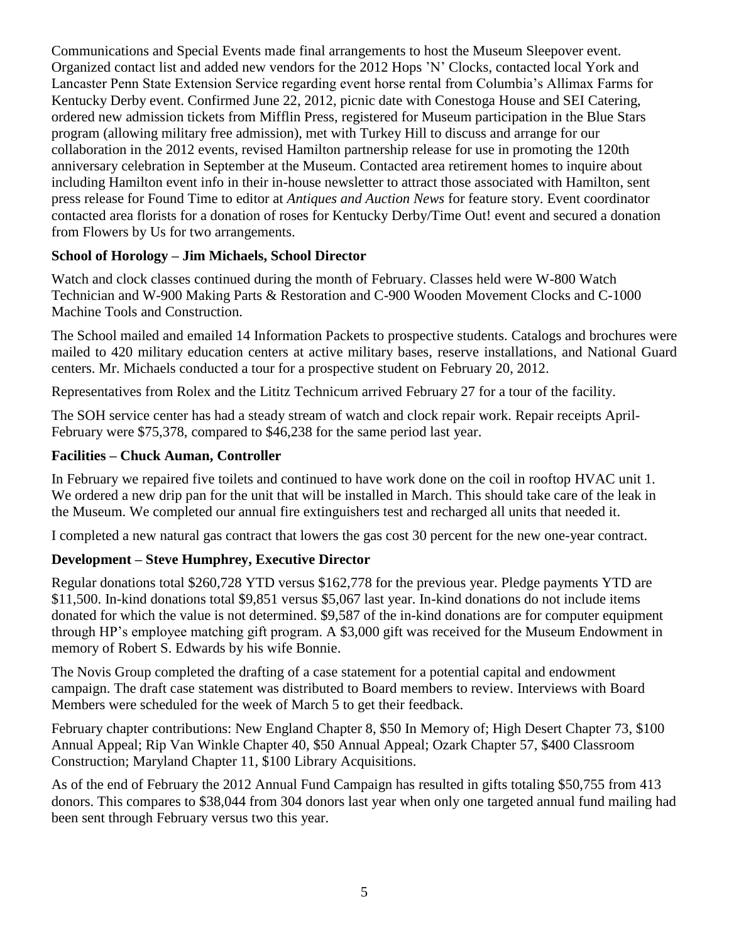Communications and Special Events made final arrangements to host the Museum Sleepover event. Organized contact list and added new vendors for the 2012 Hops 'N' Clocks, contacted local York and Lancaster Penn State Extension Service regarding event horse rental from Columbia's Allimax Farms for Kentucky Derby event. Confirmed June 22, 2012, picnic date with Conestoga House and SEI Catering, ordered new admission tickets from Mifflin Press, registered for Museum participation in the Blue Stars program (allowing military free admission), met with Turkey Hill to discuss and arrange for our collaboration in the 2012 events, revised Hamilton partnership release for use in promoting the 120th anniversary celebration in September at the Museum. Contacted area retirement homes to inquire about including Hamilton event info in their in-house newsletter to attract those associated with Hamilton, sent press release for Found Time to editor at *Antiques and Auction News* for feature story. Event coordinator contacted area florists for a donation of roses for Kentucky Derby/Time Out! event and secured a donation from Flowers by Us for two arrangements.

## **School of Horology – Jim Michaels, School Director**

Watch and clock classes continued during the month of February. Classes held were W-800 Watch Technician and W-900 Making Parts & Restoration and C-900 Wooden Movement Clocks and C-1000 Machine Tools and Construction.

The School mailed and emailed 14 Information Packets to prospective students. Catalogs and brochures were mailed to 420 military education centers at active military bases, reserve installations, and National Guard centers. Mr. Michaels conducted a tour for a prospective student on February 20, 2012.

Representatives from Rolex and the Lititz Technicum arrived February 27 for a tour of the facility.

The SOH service center has had a steady stream of watch and clock repair work. Repair receipts April-February were \$75,378, compared to \$46,238 for the same period last year.

### **Facilities – Chuck Auman, Controller**

In February we repaired five toilets and continued to have work done on the coil in rooftop HVAC unit 1. We ordered a new drip pan for the unit that will be installed in March. This should take care of the leak in the Museum. We completed our annual fire extinguishers test and recharged all units that needed it.

I completed a new natural gas contract that lowers the gas cost 30 percent for the new one-year contract.

# **Development – Steve Humphrey, Executive Director**

Regular donations total \$260,728 YTD versus \$162,778 for the previous year. Pledge payments YTD are \$11,500. In-kind donations total \$9,851 versus \$5,067 last year. In-kind donations do not include items donated for which the value is not determined. \$9,587 of the in-kind donations are for computer equipment through HP's employee matching gift program. A \$3,000 gift was received for the Museum Endowment in memory of Robert S. Edwards by his wife Bonnie.

The Novis Group completed the drafting of a case statement for a potential capital and endowment campaign. The draft case statement was distributed to Board members to review. Interviews with Board Members were scheduled for the week of March 5 to get their feedback.

February chapter contributions: New England Chapter 8, \$50 In Memory of; High Desert Chapter 73, \$100 Annual Appeal; Rip Van Winkle Chapter 40, \$50 Annual Appeal; Ozark Chapter 57, \$400 Classroom Construction; Maryland Chapter 11, \$100 Library Acquisitions.

As of the end of February the 2012 Annual Fund Campaign has resulted in gifts totaling \$50,755 from 413 donors. This compares to \$38,044 from 304 donors last year when only one targeted annual fund mailing had been sent through February versus two this year.